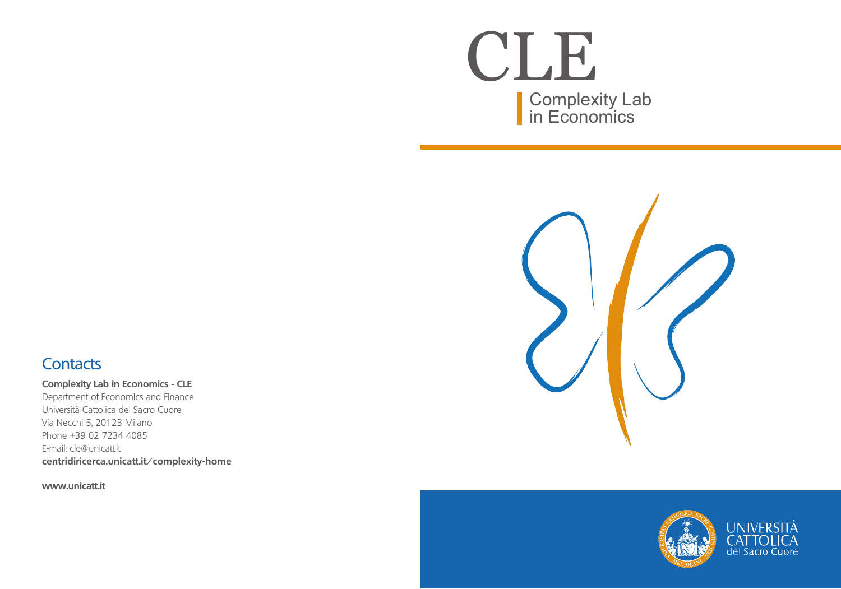Complexity Lab in Economics CLE



## **Contacts**

**Complexity Lab in Economics - CLE**

Department of Economics and Finance Università Cattolica del Sacro Cuore Via Necchi 5, 20123 Milano Phone +39 02 7234 4085 E-mail: cle@unicatt.it **centridiricerca.unicatt.it/complexity-home**

**www.unicatt.it**